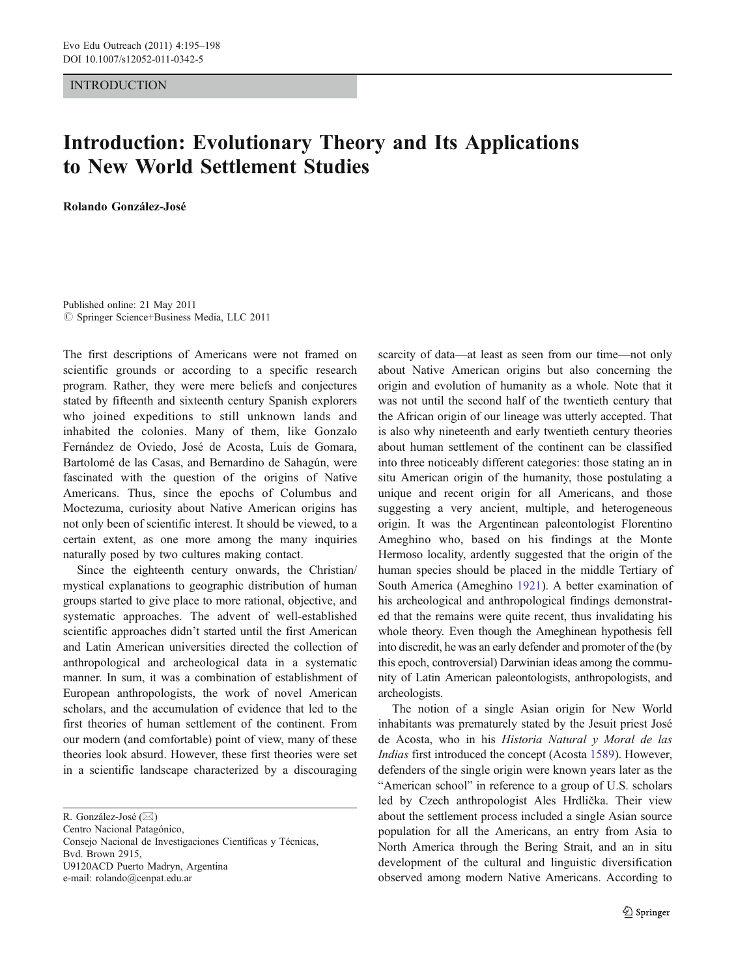## INTRODUCTION

## Introduction: Evolutionary Theory and Its Applications to New World Settlement Studies

Rolando González-José

Published online: 21 May 2011  $©$  Springer Science+Business Media, LLC 2011

The first descriptions of Americans were not framed on scientific grounds or according to a specific research program. Rather, they were mere beliefs and conjectures stated by fifteenth and sixteenth century Spanish explorers who joined expeditions to still unknown lands and inhabited the colonies. Many of them, like Gonzalo Fernández de Oviedo, José de Acosta, Luis de Gomara, Bartolomé de las Casas, and Bernardino de Sahagún, were fascinated with the question of the origins of Native Americans. Thus, since the epochs of Columbus and Moctezuma, curiosity about Native American origins has not only been of scientific interest. It should be viewed, to a certain extent, as one more among the many inquiries naturally posed by two cultures making contact.

Since the eighteenth century onwards, the Christian/ mystical explanations to geographic distribution of human groups started to give place to more rational, objective, and systematic approaches. The advent of well-established scientific approaches didn't started until the first American and Latin American universities directed the collection of anthropological and archeological data in a systematic manner. In sum, it was a combination of establishment of European anthropologists, the work of novel American scholars, and the accumulation of evidence that led to the first theories of human settlement of the continent. From our modern (and comfortable) point of view, many of these theories look absurd. However, these first theories were set in a scientific landscape characterized by a discouraging

R. González-José ( $\boxtimes$ )

Centro Nacional Patagónico,

Consejo Nacional de Investigaciones Científicas y Técnicas, Bvd. Brown 2915, U9120ACD Puerto Madryn, Argentina e-mail: rolando@cenpat.edu.ar

scarcity of data—at least as seen from our time—not only about Native American origins but also concerning the origin and evolution of humanity as a whole. Note that it was not until the second half of the twentieth century that the African origin of our lineage was utterly accepted. That is also why nineteenth and early twentieth century theories about human settlement of the continent can be classified into three noticeably different categories: those stating an in situ American origin of the humanity, those postulating a unique and recent origin for all Americans, and those suggesting a very ancient, multiple, and heterogeneous origin. It was the Argentinean paleontologist Florentino Ameghino who, based on his findings at the Monte Hermoso locality, ardently suggested that the origin of the human species should be placed in the middle Tertiary of South America (Ameghino [1921](#page-3-0)). A better examination of his archeological and anthropological findings demonstrated that the remains were quite recent, thus invalidating his whole theory. Even though the Ameghinean hypothesis fell into discredit, he was an early defender and promoter of the (by this epoch, controversial) Darwinian ideas among the community of Latin American paleontologists, anthropologists, and archeologists.

The notion of a single Asian origin for New World inhabitants was prematurely stated by the Jesuit priest José de Acosta, who in his Historia Natural y Moral de las Indias first introduced the concept (Acosta [1589\)](#page-3-0). However, defenders of the single origin were known years later as the "American school" in reference to a group of U.S. scholars led by Czech anthropologist Ales Hrdlička. Their view about the settlement process included a single Asian source population for all the Americans, an entry from Asia to North America through the Bering Strait, and an in situ development of the cultural and linguistic diversification observed among modern Native Americans. According to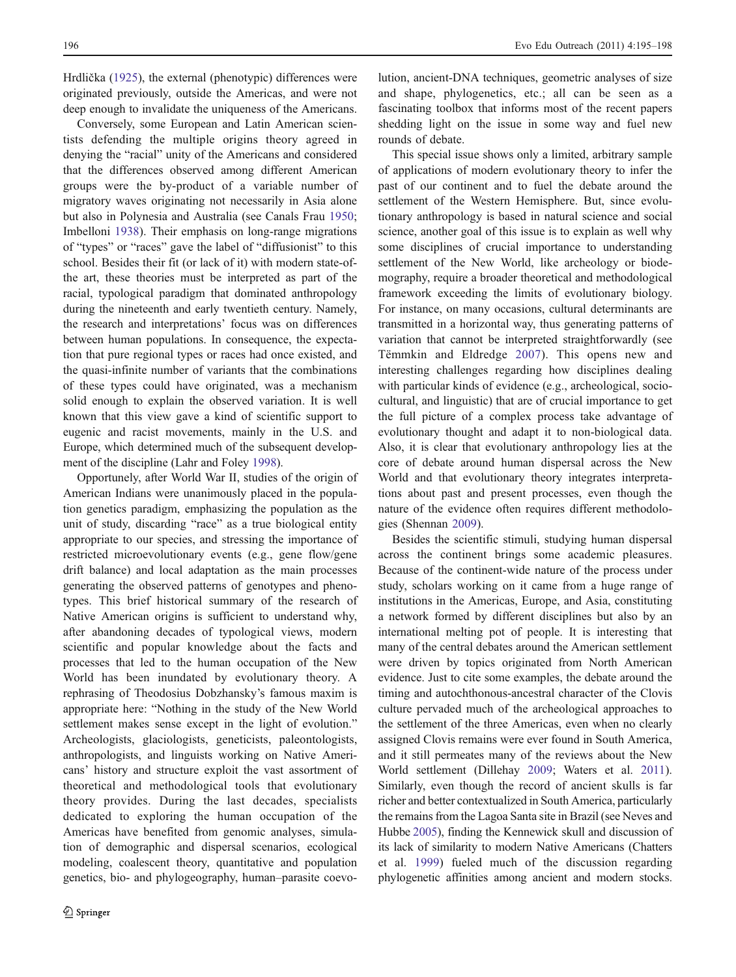Hrdlička ([1925\)](#page-3-0), the external (phenotypic) differences were originated previously, outside the Americas, and were not deep enough to invalidate the uniqueness of the Americans.

Conversely, some European and Latin American scientists defending the multiple origins theory agreed in denying the "racial" unity of the Americans and considered that the differences observed among different American groups were the by-product of a variable number of migratory waves originating not necessarily in Asia alone but also in Polynesia and Australia (see Canals Frau [1950](#page-3-0); Imbelloni [1938\)](#page-3-0). Their emphasis on long-range migrations of "types" or "races" gave the label of "diffusionist" to this school. Besides their fit (or lack of it) with modern state-ofthe art, these theories must be interpreted as part of the racial, typological paradigm that dominated anthropology during the nineteenth and early twentieth century. Namely, the research and interpretations' focus was on differences between human populations. In consequence, the expectation that pure regional types or races had once existed, and the quasi-infinite number of variants that the combinations of these types could have originated, was a mechanism solid enough to explain the observed variation. It is well known that this view gave a kind of scientific support to eugenic and racist movements, mainly in the U.S. and Europe, which determined much of the subsequent development of the discipline (Lahr and Foley [1998\)](#page-3-0).

Opportunely, after World War II, studies of the origin of American Indians were unanimously placed in the population genetics paradigm, emphasizing the population as the unit of study, discarding "race" as a true biological entity appropriate to our species, and stressing the importance of restricted microevolutionary events (e.g., gene flow/gene drift balance) and local adaptation as the main processes generating the observed patterns of genotypes and phenotypes. This brief historical summary of the research of Native American origins is sufficient to understand why, after abandoning decades of typological views, modern scientific and popular knowledge about the facts and processes that led to the human occupation of the New World has been inundated by evolutionary theory. A rephrasing of Theodosius Dobzhansky's famous maxim is appropriate here: "Nothing in the study of the New World settlement makes sense except in the light of evolution." Archeologists, glaciologists, geneticists, paleontologists, anthropologists, and linguists working on Native Americans' history and structure exploit the vast assortment of theoretical and methodological tools that evolutionary theory provides. During the last decades, specialists dedicated to exploring the human occupation of the Americas have benefited from genomic analyses, simulation of demographic and dispersal scenarios, ecological modeling, coalescent theory, quantitative and population genetics, bio- and phylogeography, human–parasite coevo-

lution, ancient-DNA techniques, geometric analyses of size and shape, phylogenetics, etc.; all can be seen as a fascinating toolbox that informs most of the recent papers shedding light on the issue in some way and fuel new rounds of debate.

This special issue shows only a limited, arbitrary sample of applications of modern evolutionary theory to infer the past of our continent and to fuel the debate around the settlement of the Western Hemisphere. But, since evolutionary anthropology is based in natural science and social science, another goal of this issue is to explain as well why some disciplines of crucial importance to understanding settlement of the New World, like archeology or biodemography, require a broader theoretical and methodological framework exceeding the limits of evolutionary biology. For instance, on many occasions, cultural determinants are transmitted in a horizontal way, thus generating patterns of variation that cannot be interpreted straightforwardly (see Tëmmkin and Eldredge [2007](#page-3-0)). This opens new and interesting challenges regarding how disciplines dealing with particular kinds of evidence (e.g., archeological, sociocultural, and linguistic) that are of crucial importance to get the full picture of a complex process take advantage of evolutionary thought and adapt it to non-biological data. Also, it is clear that evolutionary anthropology lies at the core of debate around human dispersal across the New World and that evolutionary theory integrates interpretations about past and present processes, even though the nature of the evidence often requires different methodologies (Shennan [2009](#page-3-0)).

Besides the scientific stimuli, studying human dispersal across the continent brings some academic pleasures. Because of the continent-wide nature of the process under study, scholars working on it came from a huge range of institutions in the Americas, Europe, and Asia, constituting a network formed by different disciplines but also by an international melting pot of people. It is interesting that many of the central debates around the American settlement were driven by topics originated from North American evidence. Just to cite some examples, the debate around the timing and autochthonous-ancestral character of the Clovis culture pervaded much of the archeological approaches to the settlement of the three Americas, even when no clearly assigned Clovis remains were ever found in South America, and it still permeates many of the reviews about the New World settlement (Dillehay [2009](#page-3-0); Waters et al. [2011\)](#page-3-0). Similarly, even though the record of ancient skulls is far richer and better contextualized in South America, particularly the remains from the Lagoa Santa site in Brazil (see Neves and Hubbe [2005\)](#page-3-0), finding the Kennewick skull and discussion of its lack of similarity to modern Native Americans (Chatters et al. [1999\)](#page-3-0) fueled much of the discussion regarding phylogenetic affinities among ancient and modern stocks.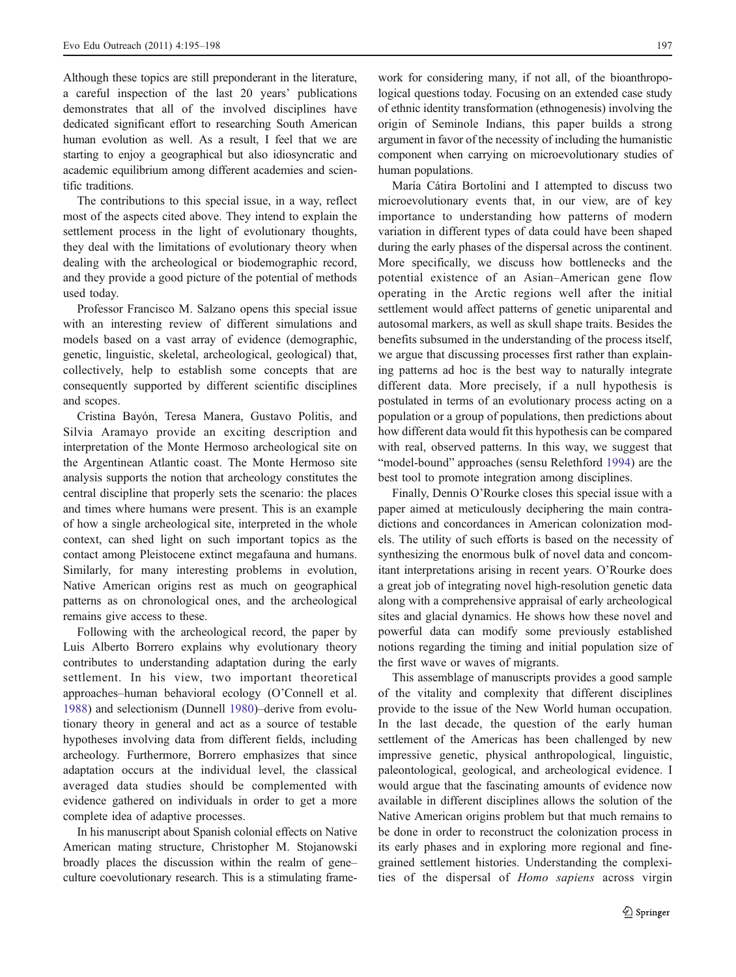Although these topics are still preponderant in the literature, a careful inspection of the last 20 years' publications demonstrates that all of the involved disciplines have dedicated significant effort to researching South American human evolution as well. As a result, I feel that we are starting to enjoy a geographical but also idiosyncratic and academic equilibrium among different academies and scientific traditions.

The contributions to this special issue, in a way, reflect most of the aspects cited above. They intend to explain the settlement process in the light of evolutionary thoughts, they deal with the limitations of evolutionary theory when dealing with the archeological or biodemographic record, and they provide a good picture of the potential of methods used today.

Professor Francisco M. Salzano opens this special issue with an interesting review of different simulations and models based on a vast array of evidence (demographic, genetic, linguistic, skeletal, archeological, geological) that, collectively, help to establish some concepts that are consequently supported by different scientific disciplines and scopes.

Cristina Bayón, Teresa Manera, Gustavo Politis, and Silvia Aramayo provide an exciting description and interpretation of the Monte Hermoso archeological site on the Argentinean Atlantic coast. The Monte Hermoso site analysis supports the notion that archeology constitutes the central discipline that properly sets the scenario: the places and times where humans were present. This is an example of how a single archeological site, interpreted in the whole context, can shed light on such important topics as the contact among Pleistocene extinct megafauna and humans. Similarly, for many interesting problems in evolution, Native American origins rest as much on geographical patterns as on chronological ones, and the archeological remains give access to these.

Following with the archeological record, the paper by Luis Alberto Borrero explains why evolutionary theory contributes to understanding adaptation during the early settlement. In his view, two important theoretical approaches–human behavioral ecology (O'Connell et al. [1988\)](#page-3-0) and selectionism (Dunnell [1980\)](#page-3-0)–derive from evolutionary theory in general and act as a source of testable hypotheses involving data from different fields, including archeology. Furthermore, Borrero emphasizes that since adaptation occurs at the individual level, the classical averaged data studies should be complemented with evidence gathered on individuals in order to get a more complete idea of adaptive processes.

In his manuscript about Spanish colonial effects on Native American mating structure, Christopher M. Stojanowski broadly places the discussion within the realm of gene– culture coevolutionary research. This is a stimulating frame-

work for considering many, if not all, of the bioanthropological questions today. Focusing on an extended case study of ethnic identity transformation (ethnogenesis) involving the origin of Seminole Indians, this paper builds a strong argument in favor of the necessity of including the humanistic component when carrying on microevolutionary studies of human populations.

María Cátira Bortolini and I attempted to discuss two microevolutionary events that, in our view, are of key importance to understanding how patterns of modern variation in different types of data could have been shaped during the early phases of the dispersal across the continent. More specifically, we discuss how bottlenecks and the potential existence of an Asian–American gene flow operating in the Arctic regions well after the initial settlement would affect patterns of genetic uniparental and autosomal markers, as well as skull shape traits. Besides the benefits subsumed in the understanding of the process itself, we argue that discussing processes first rather than explaining patterns ad hoc is the best way to naturally integrate different data. More precisely, if a null hypothesis is postulated in terms of an evolutionary process acting on a population or a group of populations, then predictions about how different data would fit this hypothesis can be compared with real, observed patterns. In this way, we suggest that "model-bound" approaches (sensu Relethford [1994\)](#page-3-0) are the best tool to promote integration among disciplines.

Finally, Dennis O'Rourke closes this special issue with a paper aimed at meticulously deciphering the main contradictions and concordances in American colonization models. The utility of such efforts is based on the necessity of synthesizing the enormous bulk of novel data and concomitant interpretations arising in recent years. O'Rourke does a great job of integrating novel high-resolution genetic data along with a comprehensive appraisal of early archeological sites and glacial dynamics. He shows how these novel and powerful data can modify some previously established notions regarding the timing and initial population size of the first wave or waves of migrants.

This assemblage of manuscripts provides a good sample of the vitality and complexity that different disciplines provide to the issue of the New World human occupation. In the last decade, the question of the early human settlement of the Americas has been challenged by new impressive genetic, physical anthropological, linguistic, paleontological, geological, and archeological evidence. I would argue that the fascinating amounts of evidence now available in different disciplines allows the solution of the Native American origins problem but that much remains to be done in order to reconstruct the colonization process in its early phases and in exploring more regional and finegrained settlement histories. Understanding the complexities of the dispersal of Homo sapiens across virgin